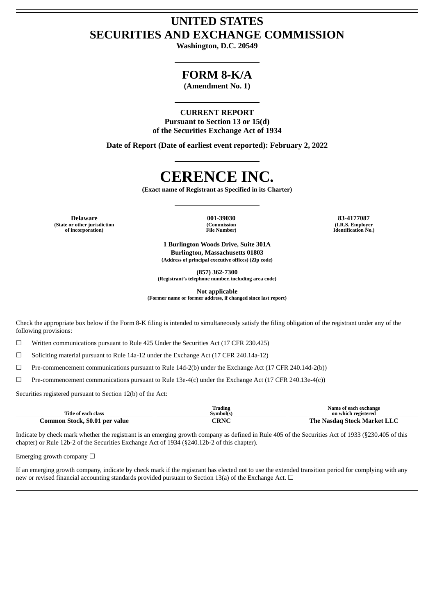## **UNITED STATES SECURITIES AND EXCHANGE COMMISSION**

**Washington, D.C. 20549**

## **FORM 8-K/A**

**(Amendment No. 1)**

### **CURRENT REPORT**

**Pursuant to Section 13 or 15(d) of the Securities Exchange Act of 1934**

**Date of Report (Date of earliest event reported): February 2, 2022**

# **CERENCE INC.**

**(Exact name of Registrant as Specified in its Charter)**

**Delaware 001-39030 83-4177087 (State or other jurisdiction of incorporation)**

**(Commission File Number)**

**(I.R.S. Employer Identification No.)**

**1 Burlington Woods Drive, Suite 301A Burlington, Massachusetts 01803 (Address of principal executive offices) (Zip code)**

**(857) 362-7300**

**(Registrant's telephone number, including area code)**

**Not applicable**

**(Former name or former address, if changed since last report)**

Check the appropriate box below if the Form 8-K filing is intended to simultaneously satisfy the filing obligation of the registrant under any of the following provisions:

 $\Box$  Written communications pursuant to Rule 425 Under the Securities Act (17 CFR 230.425)

☐ Soliciting material pursuant to Rule 14a-12 under the Exchange Act (17 CFR 240.14a-12)

 $\Box$  Pre-commencement communications pursuant to Rule 14d-2(b) under the Exchange Act (17 CFR 240.14d-2(b))

☐ Pre-commencement communications pursuant to Rule 13e-4(c) under the Exchange Act (17 CFR 240.13e-4(c))

Securities registered pursuant to Section 12(b) of the Act:

| Title of each class            | Trading<br>Symbol(s) | Name of each exchange<br>on which registered |
|--------------------------------|----------------------|----------------------------------------------|
| Common Stock, \$0.01 per value | <b>CRNC</b>          | The Nasdag Stock Market LLC                  |

Indicate by check mark whether the registrant is an emerging growth company as defined in Rule 405 of the Securities Act of 1933 (§230.405 of this chapter) or Rule 12b-2 of the Securities Exchange Act of 1934 (§240.12b-2 of this chapter).

Emerging growth company  $\Box$ 

If an emerging growth company, indicate by check mark if the registrant has elected not to use the extended transition period for complying with any new or revised financial accounting standards provided pursuant to Section 13(a) of the Exchange Act. □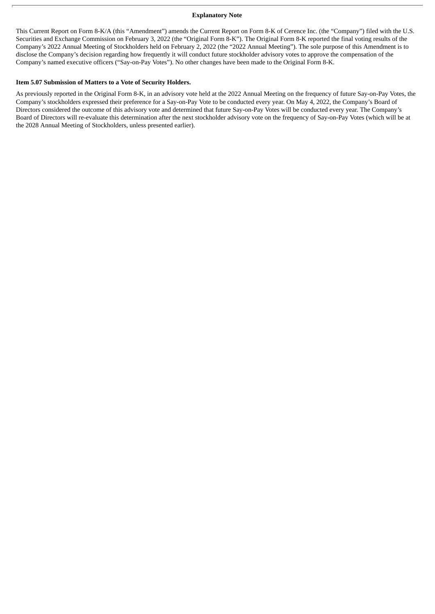#### **Explanatory Note**

This Current Report on Form 8-K/A (this "Amendment") amends the Current Report on Form 8-K of Cerence Inc. (the "Company") filed with the U.S. Securities and Exchange Commission on February 3, 2022 (the "Original Form 8-K"). The Original Form 8-K reported the final voting results of the Company's 2022 Annual Meeting of Stockholders held on February 2, 2022 (the "2022 Annual Meeting"). The sole purpose of this Amendment is to disclose the Company's decision regarding how frequently it will conduct future stockholder advisory votes to approve the compensation of the Company's named executive officers ("Say-on-Pay Votes"). No other changes have been made to the Original Form 8-K.

### **Item 5.07 Submission of Matters to a Vote of Security Holders.**

As previously reported in the Original Form 8-K, in an advisory vote held at the 2022 Annual Meeting on the frequency of future Say-on-Pay Votes, the Company's stockholders expressed their preference for a Say-on-Pay Vote to be conducted every year. On May 4, 2022, the Company's Board of Directors considered the outcome of this advisory vote and determined that future Say-on-Pay Votes will be conducted every year. The Company's Board of Directors will re-evaluate this determination after the next stockholder advisory vote on the frequency of Say-on-Pay Votes (which will be at the 2028 Annual Meeting of Stockholders, unless presented earlier).